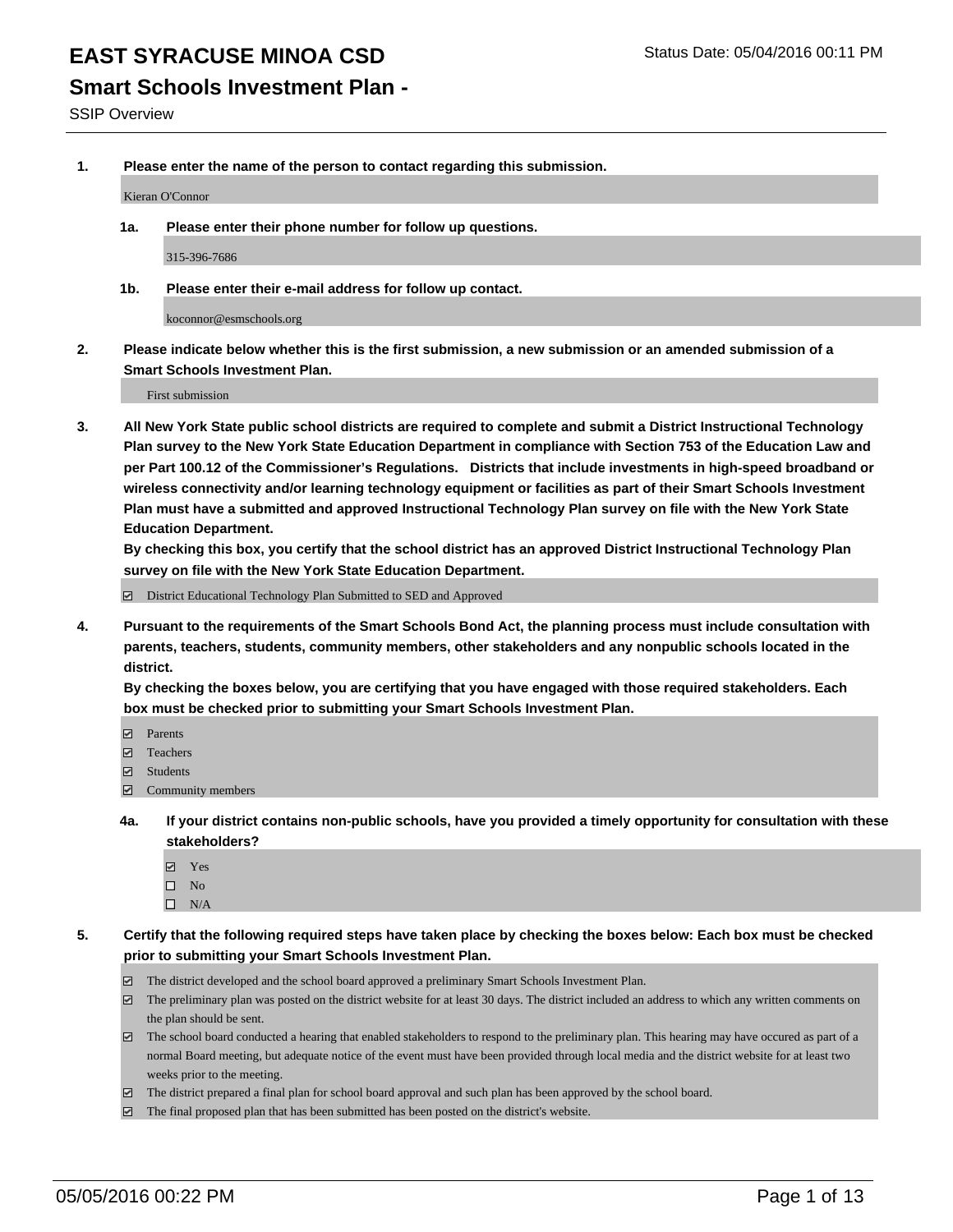### **Smart Schools Investment Plan -**

SSIP Overview

**1. Please enter the name of the person to contact regarding this submission.**

Kieran O'Connor

**1a. Please enter their phone number for follow up questions.**

315-396-7686

**1b. Please enter their e-mail address for follow up contact.**

koconnor@esmschools.org

**2. Please indicate below whether this is the first submission, a new submission or an amended submission of a Smart Schools Investment Plan.**

First submission

**3. All New York State public school districts are required to complete and submit a District Instructional Technology Plan survey to the New York State Education Department in compliance with Section 753 of the Education Law and per Part 100.12 of the Commissioner's Regulations. Districts that include investments in high-speed broadband or wireless connectivity and/or learning technology equipment or facilities as part of their Smart Schools Investment Plan must have a submitted and approved Instructional Technology Plan survey on file with the New York State Education Department.** 

**By checking this box, you certify that the school district has an approved District Instructional Technology Plan survey on file with the New York State Education Department.**

■ District Educational Technology Plan Submitted to SED and Approved

**4. Pursuant to the requirements of the Smart Schools Bond Act, the planning process must include consultation with parents, teachers, students, community members, other stakeholders and any nonpublic schools located in the district.** 

**By checking the boxes below, you are certifying that you have engaged with those required stakeholders. Each box must be checked prior to submitting your Smart Schools Investment Plan.**

- **Parents**
- □ Teachers
- Students
- $\boxdot$  Community members
- **4a. If your district contains non-public schools, have you provided a timely opportunity for consultation with these stakeholders?**
	- Yes
	- $\square$  No
	- $\Box$  N/A
- **5. Certify that the following required steps have taken place by checking the boxes below: Each box must be checked prior to submitting your Smart Schools Investment Plan.**
	- The district developed and the school board approved a preliminary Smart Schools Investment Plan.
	- The preliminary plan was posted on the district website for at least 30 days. The district included an address to which any written comments on the plan should be sent.
	- $\Box$  The school board conducted a hearing that enabled stakeholders to respond to the preliminary plan. This hearing may have occured as part of a normal Board meeting, but adequate notice of the event must have been provided through local media and the district website for at least two weeks prior to the meeting.
	- The district prepared a final plan for school board approval and such plan has been approved by the school board.
	- The final proposed plan that has been submitted has been posted on the district's website.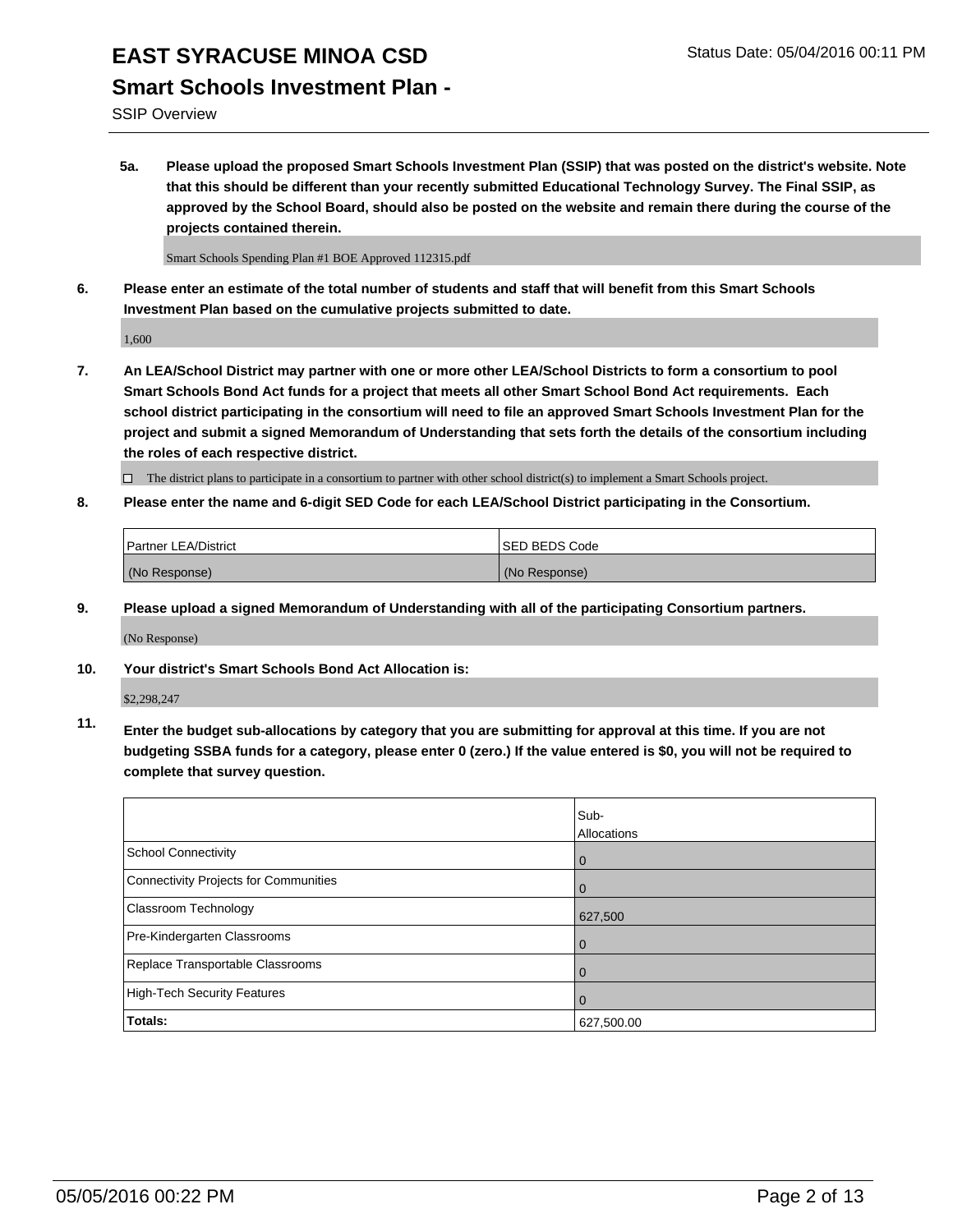## EAST SYRACUSE MINOA CSD<br>
Status Date: 05/04/2016 00:11 PM **Smart Schools Investment Plan -**

### SSIP Overview

**5a. Please upload the proposed Smart Schools Investment Plan (SSIP) that was posted on the district's website. Note that this should be different than your recently submitted Educational Technology Survey. The Final SSIP, as approved by the School Board, should also be posted on the website and remain there during the course of the projects contained therein.**

Smart Schools Spending Plan #1 BOE Approved 112315.pdf

**6. Please enter an estimate of the total number of students and staff that will benefit from this Smart Schools Investment Plan based on the cumulative projects submitted to date.**

1,600

**7. An LEA/School District may partner with one or more other LEA/School Districts to form a consortium to pool Smart Schools Bond Act funds for a project that meets all other Smart School Bond Act requirements. Each school district participating in the consortium will need to file an approved Smart Schools Investment Plan for the project and submit a signed Memorandum of Understanding that sets forth the details of the consortium including the roles of each respective district.**

 $\Box$  The district plans to participate in a consortium to partner with other school district(s) to implement a Smart Schools project.

**8. Please enter the name and 6-digit SED Code for each LEA/School District participating in the Consortium.**

| <b>Partner LEA/District</b> | <b>ISED BEDS Code</b> |
|-----------------------------|-----------------------|
| (No Response)               | (No Response)         |

**9. Please upload a signed Memorandum of Understanding with all of the participating Consortium partners.**

(No Response)

**10. Your district's Smart Schools Bond Act Allocation is:**

\$2,298,247

**11. Enter the budget sub-allocations by category that you are submitting for approval at this time. If you are not budgeting SSBA funds for a category, please enter 0 (zero.) If the value entered is \$0, you will not be required to complete that survey question.**

|                                       | Sub-<br>Allocations |
|---------------------------------------|---------------------|
| School Connectivity                   | $\mathbf 0$         |
| Connectivity Projects for Communities |                     |
| <b>Classroom Technology</b>           | 627,500             |
| Pre-Kindergarten Classrooms           |                     |
| Replace Transportable Classrooms      | O                   |
| High-Tech Security Features           |                     |
| Totals:                               | 627,500.00          |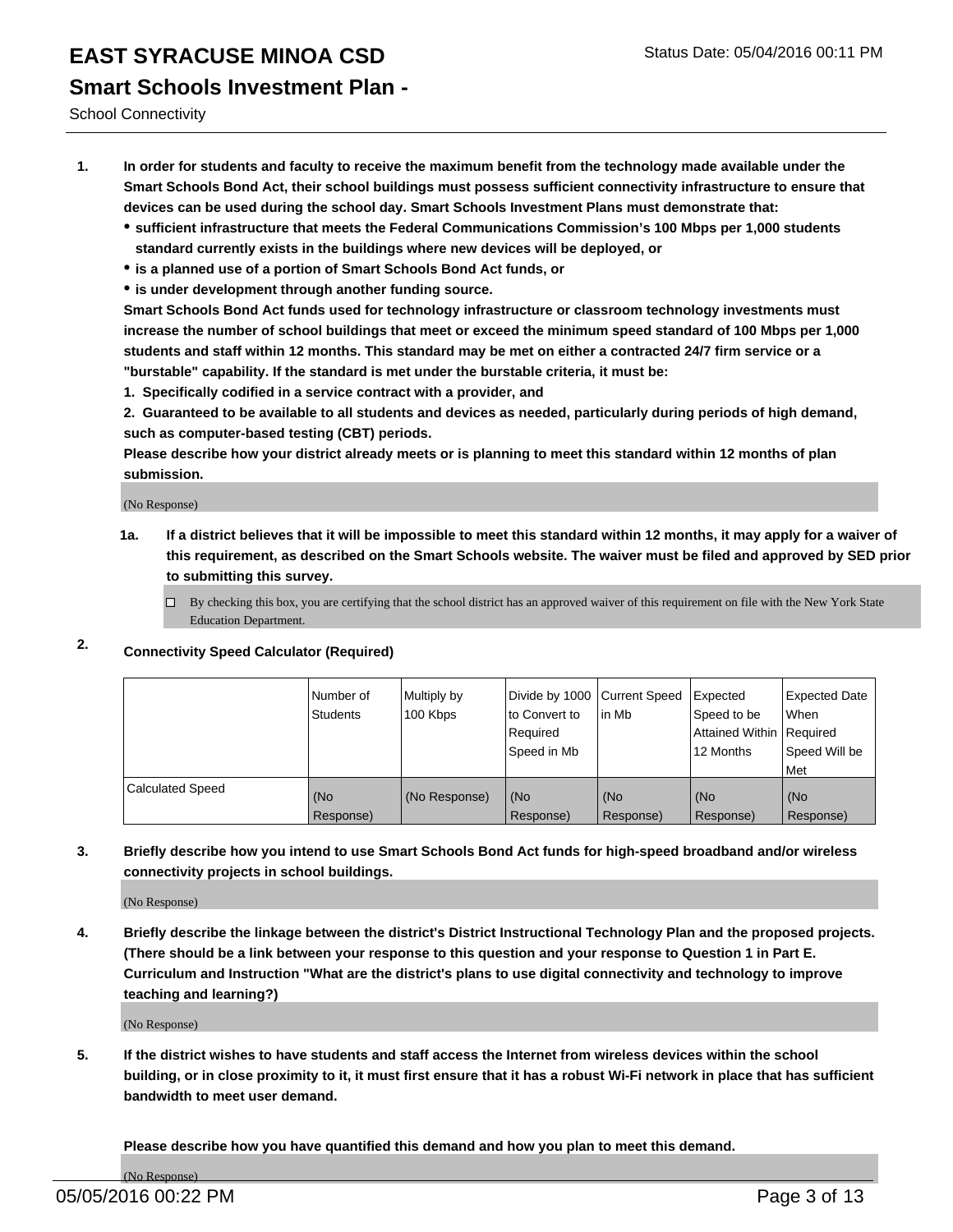## EAST SYRACUSE MINOA CSD<br>
Status Date: 05/04/2016 00:11 PM **Smart Schools Investment Plan -**

School Connectivity

- **1. In order for students and faculty to receive the maximum benefit from the technology made available under the Smart Schools Bond Act, their school buildings must possess sufficient connectivity infrastructure to ensure that devices can be used during the school day. Smart Schools Investment Plans must demonstrate that:**
	- **sufficient infrastructure that meets the Federal Communications Commission's 100 Mbps per 1,000 students standard currently exists in the buildings where new devices will be deployed, or**
	- **is a planned use of a portion of Smart Schools Bond Act funds, or**
	- **is under development through another funding source.**

**Smart Schools Bond Act funds used for technology infrastructure or classroom technology investments must increase the number of school buildings that meet or exceed the minimum speed standard of 100 Mbps per 1,000 students and staff within 12 months. This standard may be met on either a contracted 24/7 firm service or a "burstable" capability. If the standard is met under the burstable criteria, it must be:**

**1. Specifically codified in a service contract with a provider, and**

**2. Guaranteed to be available to all students and devices as needed, particularly during periods of high demand, such as computer-based testing (CBT) periods.**

**Please describe how your district already meets or is planning to meet this standard within 12 months of plan submission.**

(No Response)

- **1a. If a district believes that it will be impossible to meet this standard within 12 months, it may apply for a waiver of this requirement, as described on the Smart Schools website. The waiver must be filed and approved by SED prior to submitting this survey.**
	- □ By checking this box, you are certifying that the school district has an approved waiver of this requirement on file with the New York State Education Department.
- **2. Connectivity Speed Calculator (Required)**

|                         | Number of<br>Students | Multiply by<br>100 Kbps | Divide by 1000 Current Speed<br>Ito Convert to<br>Required<br>l Speed in Mb | lin Mb             | Expected<br>Speed to be<br>Attained Within   Required<br>12 Months | Expected Date<br><b>When</b><br>Speed Will be<br>Met |
|-------------------------|-----------------------|-------------------------|-----------------------------------------------------------------------------|--------------------|--------------------------------------------------------------------|------------------------------------------------------|
| <b>Calculated Speed</b> | (No<br>Response)      | (No Response)           | (No<br>Response)                                                            | l (No<br>Response) | (No<br>Response)                                                   | l (No<br>Response)                                   |

### **3. Briefly describe how you intend to use Smart Schools Bond Act funds for high-speed broadband and/or wireless connectivity projects in school buildings.**

(No Response)

**4. Briefly describe the linkage between the district's District Instructional Technology Plan and the proposed projects. (There should be a link between your response to this question and your response to Question 1 in Part E. Curriculum and Instruction "What are the district's plans to use digital connectivity and technology to improve teaching and learning?)**

(No Response)

**5. If the district wishes to have students and staff access the Internet from wireless devices within the school building, or in close proximity to it, it must first ensure that it has a robust Wi-Fi network in place that has sufficient bandwidth to meet user demand.**

**Please describe how you have quantified this demand and how you plan to meet this demand.**

(No Response)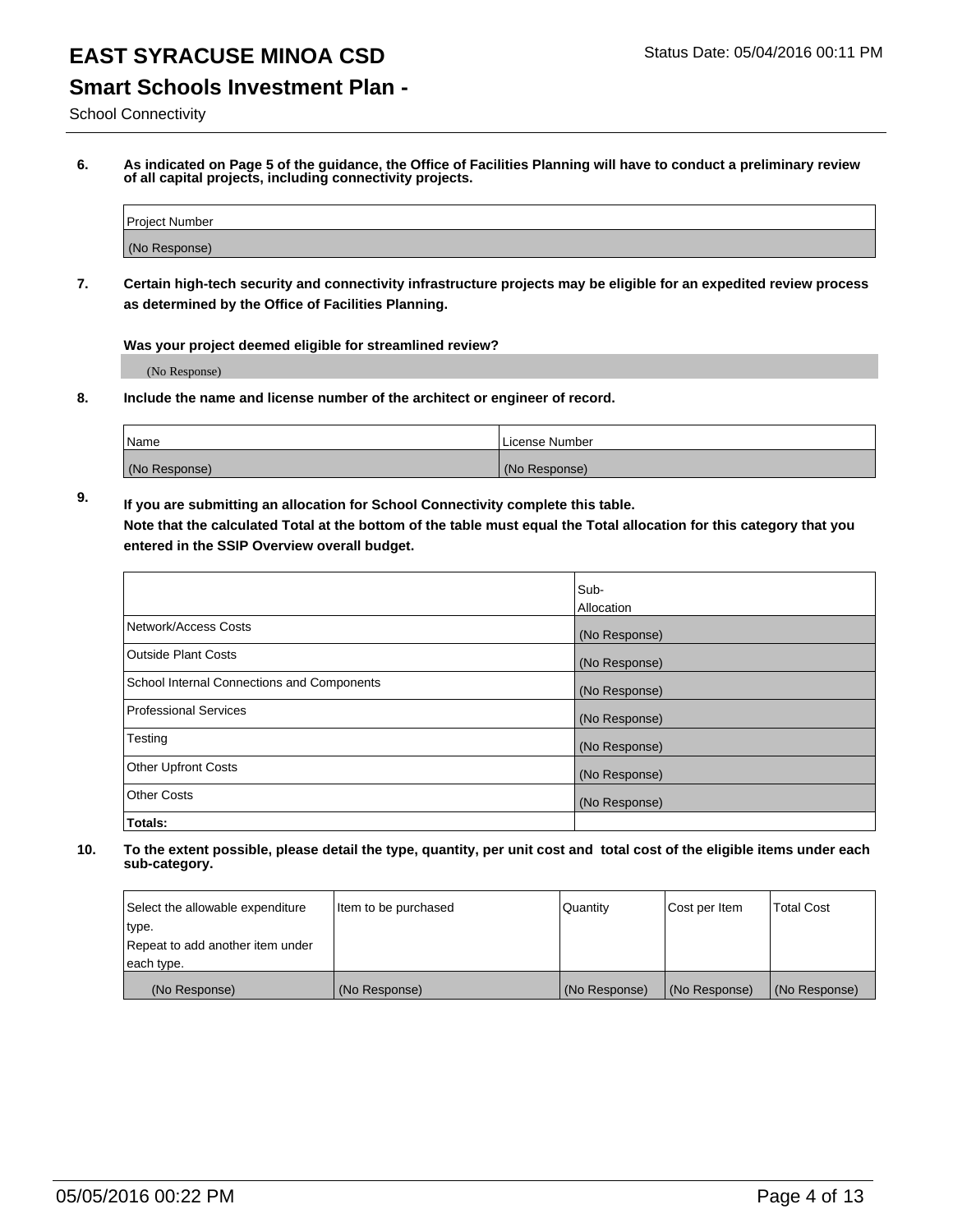## **Smart Schools Investment Plan -**

School Connectivity

**6. As indicated on Page 5 of the guidance, the Office of Facilities Planning will have to conduct a preliminary review of all capital projects, including connectivity projects.**

| Project Number |  |
|----------------|--|
| (No Response)  |  |

**7. Certain high-tech security and connectivity infrastructure projects may be eligible for an expedited review process as determined by the Office of Facilities Planning.**

**Was your project deemed eligible for streamlined review?**

(No Response)

**8. Include the name and license number of the architect or engineer of record.**

| Name          | i License Number |
|---------------|------------------|
| (No Response) | (No Response)    |

**9. If you are submitting an allocation for School Connectivity complete this table. Note that the calculated Total at the bottom of the table must equal the Total allocation for this category that you entered in the SSIP Overview overall budget.** 

|                                            | Sub-              |
|--------------------------------------------|-------------------|
|                                            | <b>Allocation</b> |
| Network/Access Costs                       | (No Response)     |
| <b>Outside Plant Costs</b>                 | (No Response)     |
| School Internal Connections and Components | (No Response)     |
| <b>Professional Services</b>               | (No Response)     |
| Testing                                    | (No Response)     |
| <b>Other Upfront Costs</b>                 | (No Response)     |
| <b>Other Costs</b>                         | (No Response)     |
| Totals:                                    |                   |

| Select the allowable expenditure | Item to be purchased | Quantity      | Cost per Item | Total Cost    |
|----------------------------------|----------------------|---------------|---------------|---------------|
| type.                            |                      |               |               |               |
| Repeat to add another item under |                      |               |               |               |
| each type.                       |                      |               |               |               |
| (No Response)                    | (No Response)        | (No Response) | (No Response) | (No Response) |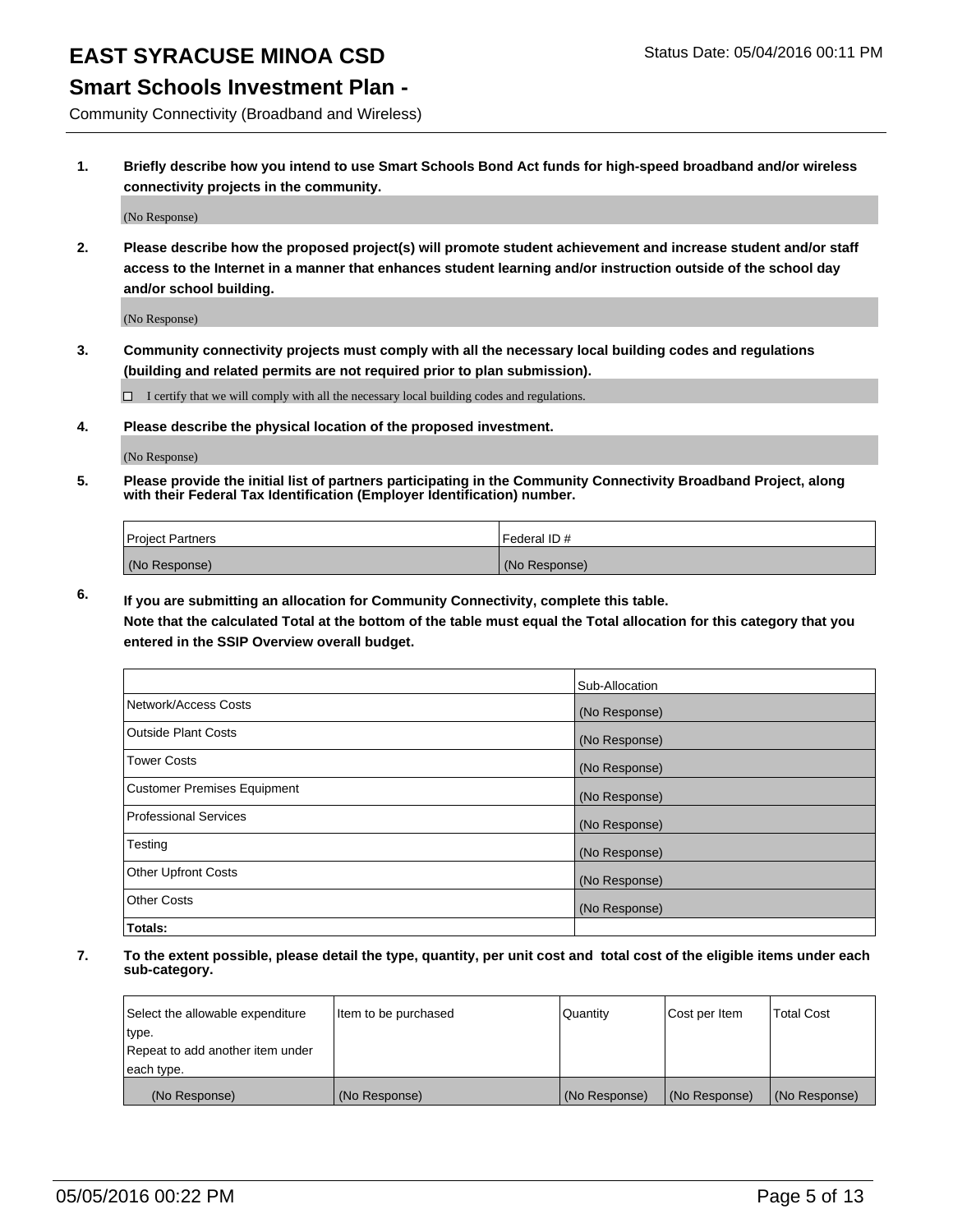### **Smart Schools Investment Plan -**

Community Connectivity (Broadband and Wireless)

**1. Briefly describe how you intend to use Smart Schools Bond Act funds for high-speed broadband and/or wireless connectivity projects in the community.**

(No Response)

**2. Please describe how the proposed project(s) will promote student achievement and increase student and/or staff access to the Internet in a manner that enhances student learning and/or instruction outside of the school day and/or school building.**

(No Response)

**3. Community connectivity projects must comply with all the necessary local building codes and regulations (building and related permits are not required prior to plan submission).**

 $\Box$  I certify that we will comply with all the necessary local building codes and regulations.

**4. Please describe the physical location of the proposed investment.**

(No Response)

**5. Please provide the initial list of partners participating in the Community Connectivity Broadband Project, along with their Federal Tax Identification (Employer Identification) number.**

| <b>Project Partners</b> | <b>IFederal ID#</b> |
|-------------------------|---------------------|
| (No Response)           | (No Response)       |

**6. If you are submitting an allocation for Community Connectivity, complete this table.**

**Note that the calculated Total at the bottom of the table must equal the Total allocation for this category that you entered in the SSIP Overview overall budget.**

|                                    | Sub-Allocation |
|------------------------------------|----------------|
| Network/Access Costs               | (No Response)  |
| Outside Plant Costs                | (No Response)  |
| <b>Tower Costs</b>                 | (No Response)  |
| <b>Customer Premises Equipment</b> | (No Response)  |
| Professional Services              | (No Response)  |
| Testing                            | (No Response)  |
| <b>Other Upfront Costs</b>         | (No Response)  |
| Other Costs                        | (No Response)  |
| Totals:                            |                |

| Select the allowable expenditure | Item to be purchased | Quantity      | Cost per Item | <b>Total Cost</b> |
|----------------------------------|----------------------|---------------|---------------|-------------------|
| type.                            |                      |               |               |                   |
| Repeat to add another item under |                      |               |               |                   |
| each type.                       |                      |               |               |                   |
| (No Response)                    | (No Response)        | (No Response) | (No Response) | (No Response)     |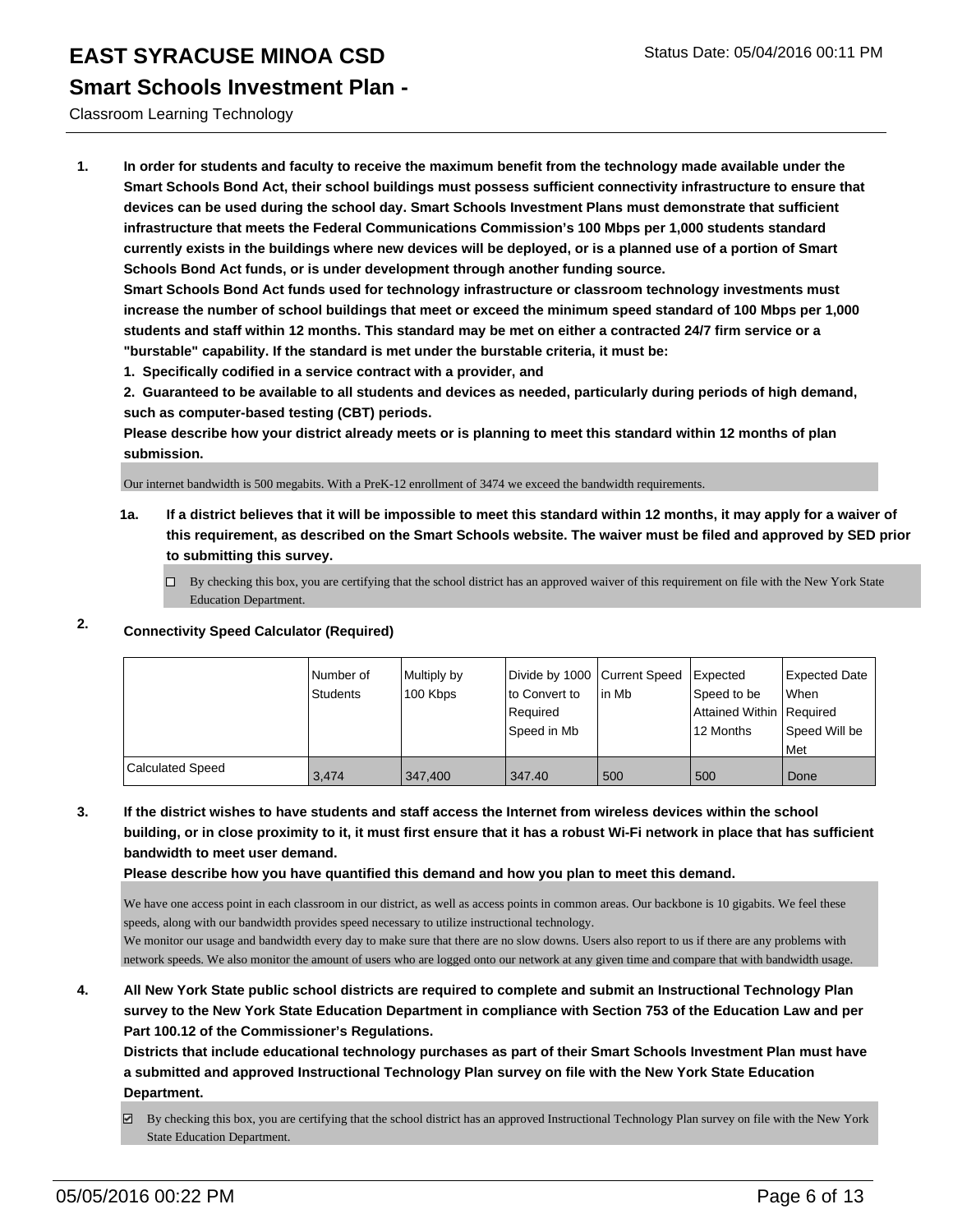### **Smart Schools Investment Plan -**

### Classroom Learning Technology

**1. In order for students and faculty to receive the maximum benefit from the technology made available under the Smart Schools Bond Act, their school buildings must possess sufficient connectivity infrastructure to ensure that devices can be used during the school day. Smart Schools Investment Plans must demonstrate that sufficient infrastructure that meets the Federal Communications Commission's 100 Mbps per 1,000 students standard currently exists in the buildings where new devices will be deployed, or is a planned use of a portion of Smart Schools Bond Act funds, or is under development through another funding source.**

**Smart Schools Bond Act funds used for technology infrastructure or classroom technology investments must increase the number of school buildings that meet or exceed the minimum speed standard of 100 Mbps per 1,000 students and staff within 12 months. This standard may be met on either a contracted 24/7 firm service or a "burstable" capability. If the standard is met under the burstable criteria, it must be:**

**1. Specifically codified in a service contract with a provider, and**

**2. Guaranteed to be available to all students and devices as needed, particularly during periods of high demand, such as computer-based testing (CBT) periods.**

**Please describe how your district already meets or is planning to meet this standard within 12 months of plan submission.**

Our internet bandwidth is 500 megabits. With a PreK-12 enrollment of 3474 we exceed the bandwidth requirements.

**1a. If a district believes that it will be impossible to meet this standard within 12 months, it may apply for a waiver of this requirement, as described on the Smart Schools website. The waiver must be filed and approved by SED prior to submitting this survey.**

 $\Box$  By checking this box, you are certifying that the school district has an approved waiver of this requirement on file with the New York State Education Department.

### **2. Connectivity Speed Calculator (Required)**

|                         | Number of<br><b>Students</b> | Multiply by<br>100 Kbps | Divide by 1000 Current Speed<br>Ito Convert to<br>Required<br>Speed in Mb | lin Mb | Expected<br>Speed to be<br>Attained Within Required<br>12 Months | Expected Date<br>When<br>Speed Will be<br>Met |
|-------------------------|------------------------------|-------------------------|---------------------------------------------------------------------------|--------|------------------------------------------------------------------|-----------------------------------------------|
| <b>Calculated Speed</b> | 3.474                        | 347.400                 | 347.40                                                                    | 500    | 500                                                              | l Done                                        |

**3. If the district wishes to have students and staff access the Internet from wireless devices within the school building, or in close proximity to it, it must first ensure that it has a robust Wi-Fi network in place that has sufficient bandwidth to meet user demand.**

**Please describe how you have quantified this demand and how you plan to meet this demand.**

We have one access point in each classroom in our district, as well as access points in common areas. Our backbone is 10 gigabits. We feel these speeds, along with our bandwidth provides speed necessary to utilize instructional technology.

We monitor our usage and bandwidth every day to make sure that there are no slow downs. Users also report to us if there are any problems with network speeds. We also monitor the amount of users who are logged onto our network at any given time and compare that with bandwidth usage.

**4. All New York State public school districts are required to complete and submit an Instructional Technology Plan survey to the New York State Education Department in compliance with Section 753 of the Education Law and per Part 100.12 of the Commissioner's Regulations.**

**Districts that include educational technology purchases as part of their Smart Schools Investment Plan must have a submitted and approved Instructional Technology Plan survey on file with the New York State Education Department.**

By checking this box, you are certifying that the school district has an approved Instructional Technology Plan survey on file with the New York State Education Department.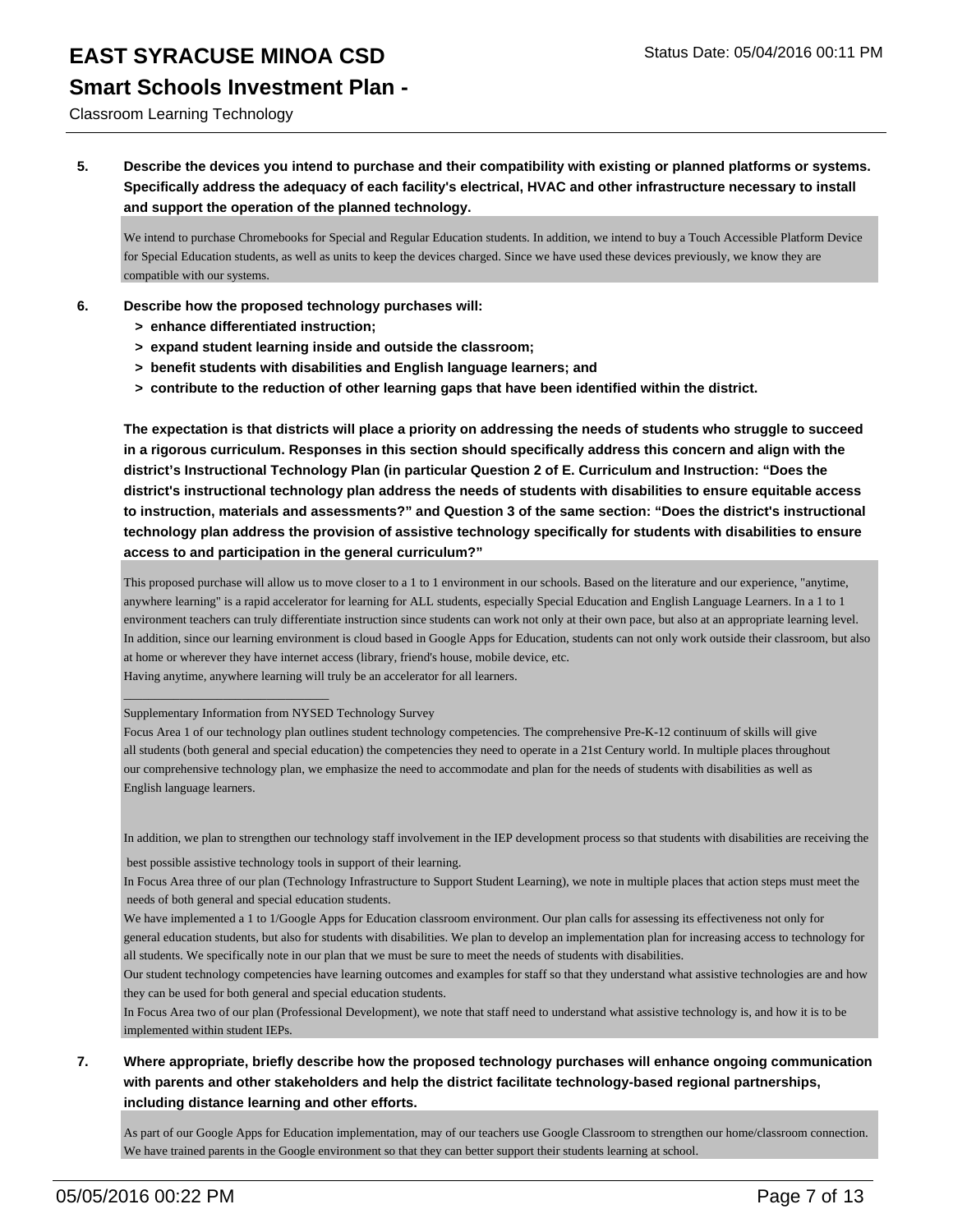### **Smart Schools Investment Plan -**

Classroom Learning Technology

**5. Describe the devices you intend to purchase and their compatibility with existing or planned platforms or systems. Specifically address the adequacy of each facility's electrical, HVAC and other infrastructure necessary to install and support the operation of the planned technology.**

We intend to purchase Chromebooks for Special and Regular Education students. In addition, we intend to buy a Touch Accessible Platform Device for Special Education students, as well as units to keep the devices charged. Since we have used these devices previously, we know they are compatible with our systems.

- **6. Describe how the proposed technology purchases will:**
	- **> enhance differentiated instruction;**
	- **> expand student learning inside and outside the classroom;**
	- **> benefit students with disabilities and English language learners; and**
	- **> contribute to the reduction of other learning gaps that have been identified within the district.**

**The expectation is that districts will place a priority on addressing the needs of students who struggle to succeed in a rigorous curriculum. Responses in this section should specifically address this concern and align with the district's Instructional Technology Plan (in particular Question 2 of E. Curriculum and Instruction: "Does the district's instructional technology plan address the needs of students with disabilities to ensure equitable access to instruction, materials and assessments?" and Question 3 of the same section: "Does the district's instructional technology plan address the provision of assistive technology specifically for students with disabilities to ensure access to and participation in the general curriculum?"**

This proposed purchase will allow us to move closer to a 1 to 1 environment in our schools. Based on the literature and our experience, "anytime, anywhere learning" is a rapid accelerator for learning for ALL students, especially Special Education and English Language Learners. In a 1 to 1 environment teachers can truly differentiate instruction since students can work not only at their own pace, but also at an appropriate learning level. In addition, since our learning environment is cloud based in Google Apps for Education, students can not only work outside their classroom, but also at home or wherever they have internet access (library, friend's house, mobile device, etc.

Having anytime, anywhere learning will truly be an accelerator for all learners.

Supplementary Information from NYSED Technology Survey

 $\_$ 

In addition, we plan to strengthen our technology staff involvement in the IEP development process so that students with disabilities are receiving the

best possible assistive technology tools in support of their learning.

In Focus Area three of our plan (Technology Infrastructure to Support Student Learning), we note in multiple places that action steps must meet the needs of both general and special education students.

Our student technology competencies have learning outcomes and examples for staff so that they understand what assistive technologies are and how they can be used for both general and special education students.

In Focus Area two of our plan (Professional Development), we note that staff need to understand what assistive technology is, and how it is to be implemented within student IEPs.

### **7. Where appropriate, briefly describe how the proposed technology purchases will enhance ongoing communication with parents and other stakeholders and help the district facilitate technology-based regional partnerships, including distance learning and other efforts.**

As part of our Google Apps for Education implementation, may of our teachers use Google Classroom to strengthen our home/classroom connection. We have trained parents in the Google environment so that they can better support their students learning at school.

Focus Area 1 of our technology plan outlines student technology competencies. The comprehensive Pre-K-12 continuum of skills will give all students (both general and special education) the competencies they need to operate in a 21st Century world. In multiple places throughout our comprehensive technology plan, we emphasize the need to accommodate and plan for the needs of students with disabilities as well as English language learners.

We have implemented a 1 to 1/Google Apps for Education classroom environment. Our plan calls for assessing its effectiveness not only for general education students, but also for students with disabilities. We plan to develop an implementation plan for increasing access to technology for all students. We specifically note in our plan that we must be sure to meet the needs of students with disabilities.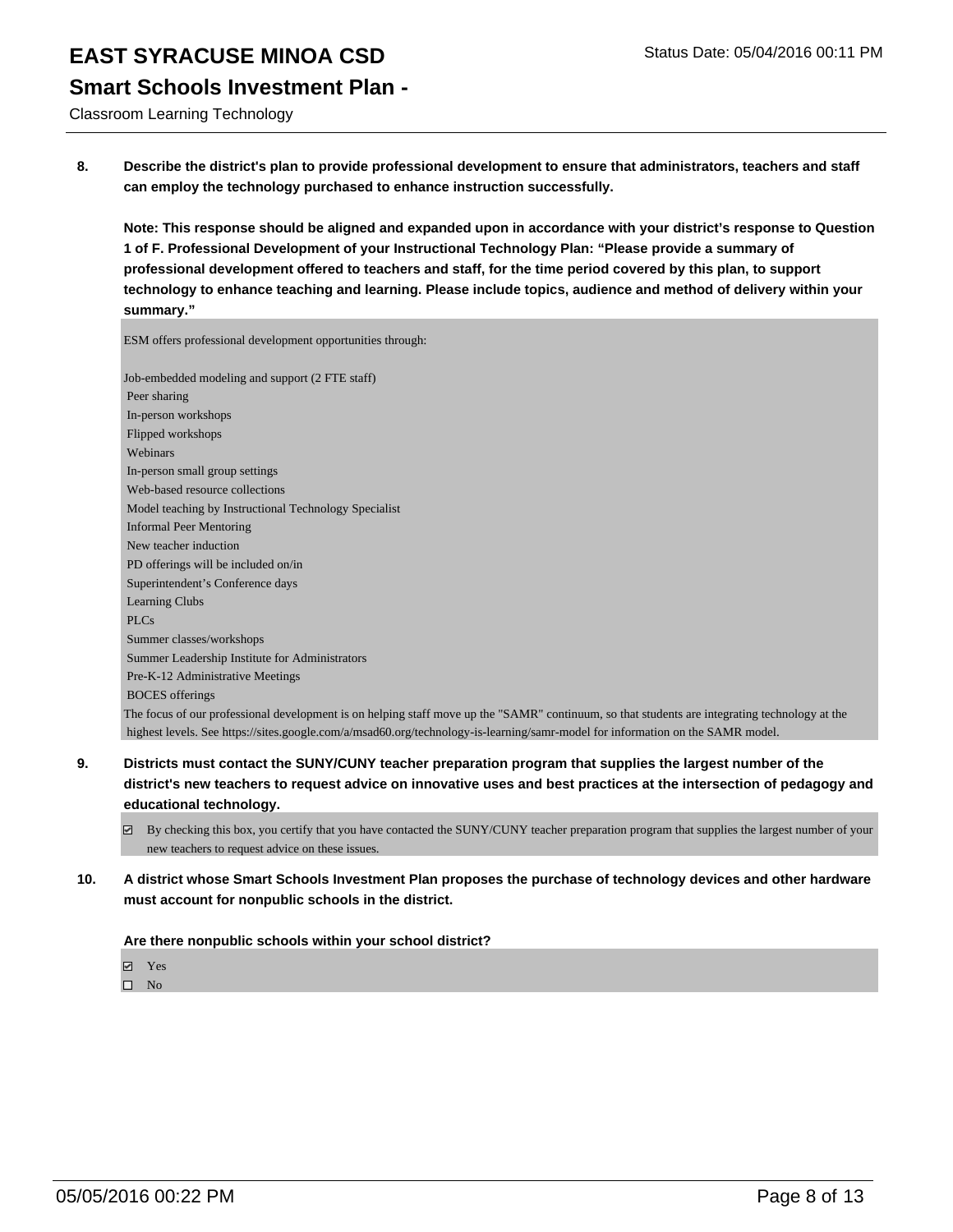### **Smart Schools Investment Plan -**

Classroom Learning Technology

**8. Describe the district's plan to provide professional development to ensure that administrators, teachers and staff can employ the technology purchased to enhance instruction successfully.**

**Note: This response should be aligned and expanded upon in accordance with your district's response to Question 1 of F. Professional Development of your Instructional Technology Plan: "Please provide a summary of professional development offered to teachers and staff, for the time period covered by this plan, to support technology to enhance teaching and learning. Please include topics, audience and method of delivery within your summary."**

ESM offers professional development opportunities through:

Job-embedded modeling and support (2 FTE staff) Peer sharing In-person workshops Flipped workshops Webinars In-person small group settings Web-based resource collections Model teaching by Instructional Technology Specialist Informal Peer Mentoring New teacher induction PD offerings will be included on/in Superintendent's Conference days Learning Clubs PLCs Summer classes/workshops Summer Leadership Institute for Administrators Pre-K-12 Administrative Meetings BOCES offerings The focus of our professional development is on helping staff move up the "SAMR" continuum, so that students are integrating technology at the highest levels. See https://sites.google.com/a/msad60.org/technology-is-learning/samr-model for information on the SAMR model.

- **9. Districts must contact the SUNY/CUNY teacher preparation program that supplies the largest number of the district's new teachers to request advice on innovative uses and best practices at the intersection of pedagogy and educational technology.**
	- $\boxtimes$  By checking this box, you certify that you have contacted the SUNY/CUNY teacher preparation program that supplies the largest number of your new teachers to request advice on these issues.
- **10. A district whose Smart Schools Investment Plan proposes the purchase of technology devices and other hardware must account for nonpublic schools in the district.**

### **Are there nonpublic schools within your school district?**

Yes

 $\square$  No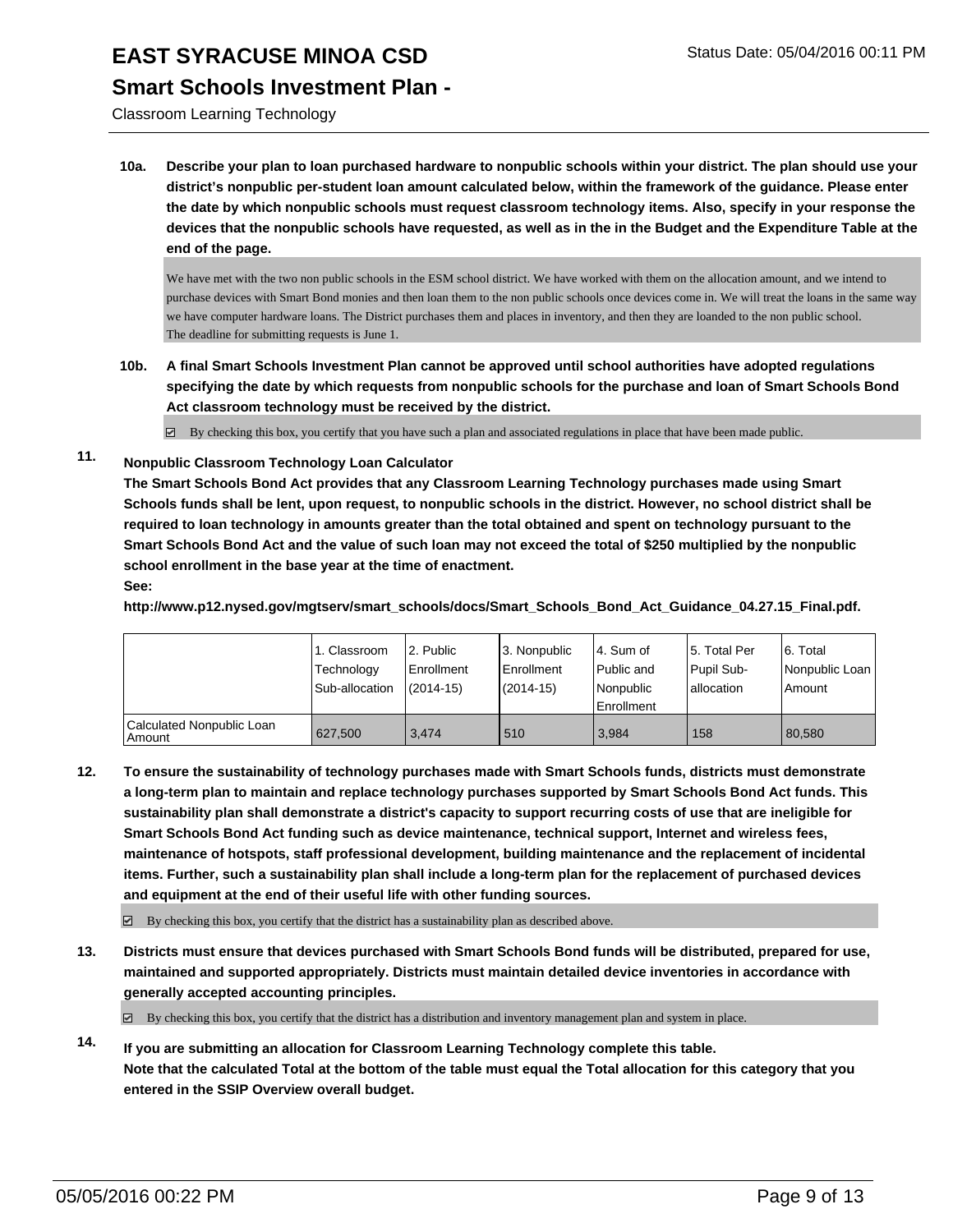### **Smart Schools Investment Plan -**

Classroom Learning Technology

**10a. Describe your plan to loan purchased hardware to nonpublic schools within your district. The plan should use your district's nonpublic per-student loan amount calculated below, within the framework of the guidance. Please enter the date by which nonpublic schools must request classroom technology items. Also, specify in your response the devices that the nonpublic schools have requested, as well as in the in the Budget and the Expenditure Table at the end of the page.**

We have met with the two non public schools in the ESM school district. We have worked with them on the allocation amount, and we intend to purchase devices with Smart Bond monies and then loan them to the non public schools once devices come in. We will treat the loans in the same way we have computer hardware loans. The District purchases them and places in inventory, and then they are loanded to the non public school. The deadline for submitting requests is June 1.

**10b. A final Smart Schools Investment Plan cannot be approved until school authorities have adopted regulations specifying the date by which requests from nonpublic schools for the purchase and loan of Smart Schools Bond Act classroom technology must be received by the district.**

 $\boxtimes$  By checking this box, you certify that you have such a plan and associated regulations in place that have been made public.

**11. Nonpublic Classroom Technology Loan Calculator**

**The Smart Schools Bond Act provides that any Classroom Learning Technology purchases made using Smart Schools funds shall be lent, upon request, to nonpublic schools in the district. However, no school district shall be required to loan technology in amounts greater than the total obtained and spent on technology pursuant to the Smart Schools Bond Act and the value of such loan may not exceed the total of \$250 multiplied by the nonpublic school enrollment in the base year at the time of enactment.**

#### **See:**

**http://www.p12.nysed.gov/mgtserv/smart\_schools/docs/Smart\_Schools\_Bond\_Act\_Guidance\_04.27.15\_Final.pdf.**

|                                     | 1. Classroom<br>Technology<br>Sub-allocation | 2. Public<br>Enrollment<br>$(2014 - 15)$ | 3. Nonpublic<br><b>Enrollment</b><br>(2014-15) | l 4. Sum of<br>Public and<br>Nonpublic<br><b>Enrollment</b> | 15. Total Per<br>Pupil Sub-<br>Iallocation | 6. Total<br>Nonpublic Loan<br>Amount |
|-------------------------------------|----------------------------------------------|------------------------------------------|------------------------------------------------|-------------------------------------------------------------|--------------------------------------------|--------------------------------------|
| Calculated Nonpublic Loan<br>Amount | 627.500                                      | 3.474                                    | 510                                            | 3,984                                                       | 158                                        | 80.580                               |

**12. To ensure the sustainability of technology purchases made with Smart Schools funds, districts must demonstrate a long-term plan to maintain and replace technology purchases supported by Smart Schools Bond Act funds. This sustainability plan shall demonstrate a district's capacity to support recurring costs of use that are ineligible for Smart Schools Bond Act funding such as device maintenance, technical support, Internet and wireless fees, maintenance of hotspots, staff professional development, building maintenance and the replacement of incidental items. Further, such a sustainability plan shall include a long-term plan for the replacement of purchased devices and equipment at the end of their useful life with other funding sources.**

 $\boxdot$  By checking this box, you certify that the district has a sustainability plan as described above.

**13. Districts must ensure that devices purchased with Smart Schools Bond funds will be distributed, prepared for use, maintained and supported appropriately. Districts must maintain detailed device inventories in accordance with generally accepted accounting principles.**

 $\boxtimes$  By checking this box, you certify that the district has a distribution and inventory management plan and system in place.

**14. If you are submitting an allocation for Classroom Learning Technology complete this table. Note that the calculated Total at the bottom of the table must equal the Total allocation for this category that you entered in the SSIP Overview overall budget.**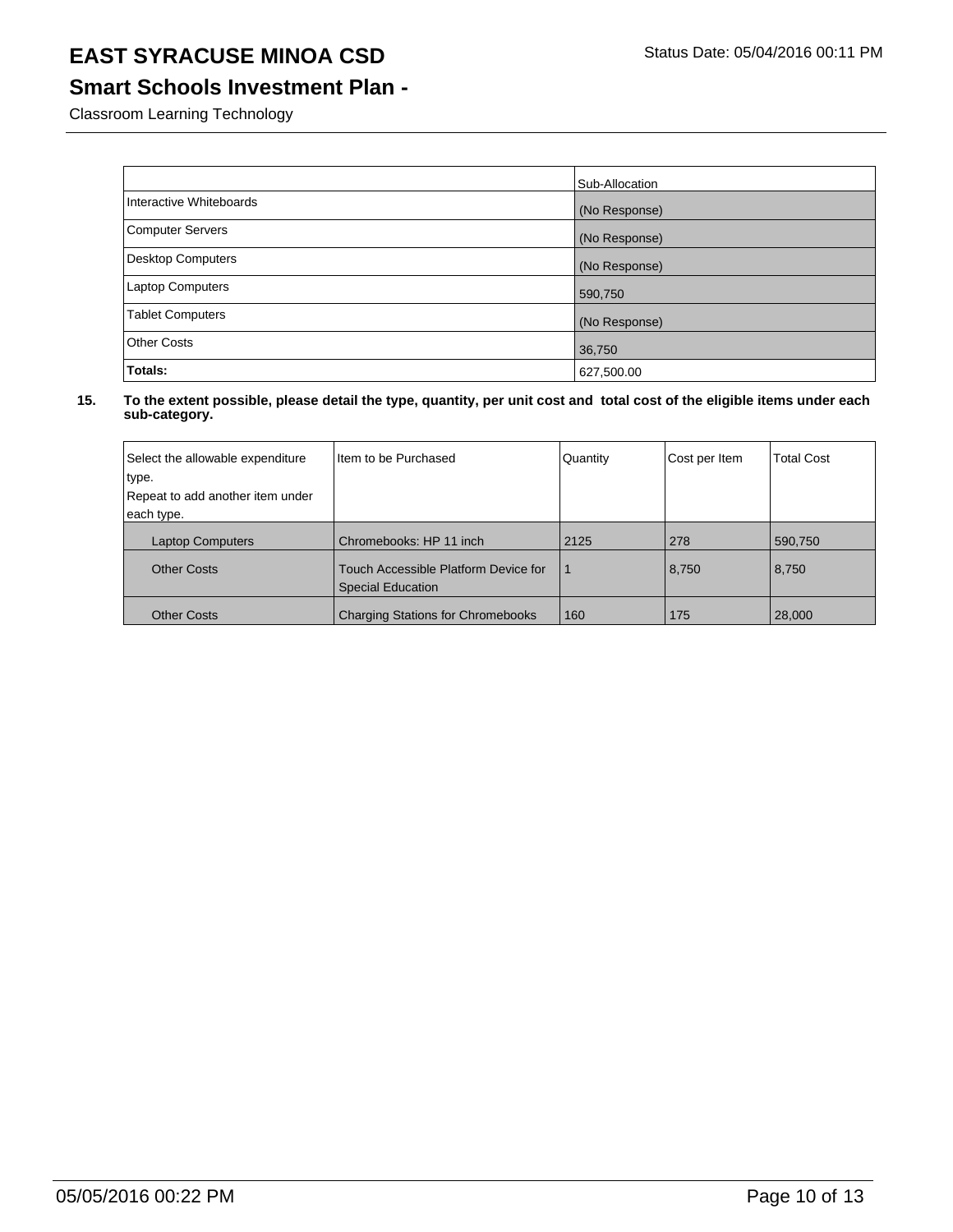## **Smart Schools Investment Plan -**

Classroom Learning Technology

|                          | Sub-Allocation |
|--------------------------|----------------|
| Interactive Whiteboards  | (No Response)  |
| <b>Computer Servers</b>  | (No Response)  |
| <b>Desktop Computers</b> | (No Response)  |
| <b>Laptop Computers</b>  | 590,750        |
| <b>Tablet Computers</b>  | (No Response)  |
| Other Costs              | 36,750         |
| Totals:                  | 627,500.00     |

| Select the allowable expenditure<br>type.<br>Repeat to add another item under<br>each type. | Item to be Purchased                                             | Quantity | Cost per Item | <b>Total Cost</b> |
|---------------------------------------------------------------------------------------------|------------------------------------------------------------------|----------|---------------|-------------------|
|                                                                                             |                                                                  |          |               |                   |
| <b>Laptop Computers</b>                                                                     | Chromebooks: HP 11 inch                                          | 2125     | 278           | 590,750           |
| <b>Other Costs</b>                                                                          | Touch Accessible Platform Device for<br><b>Special Education</b> |          | 8,750         | 8,750             |
| <b>Other Costs</b>                                                                          | <b>Charging Stations for Chromebooks</b>                         | 160      | 175           | 28,000            |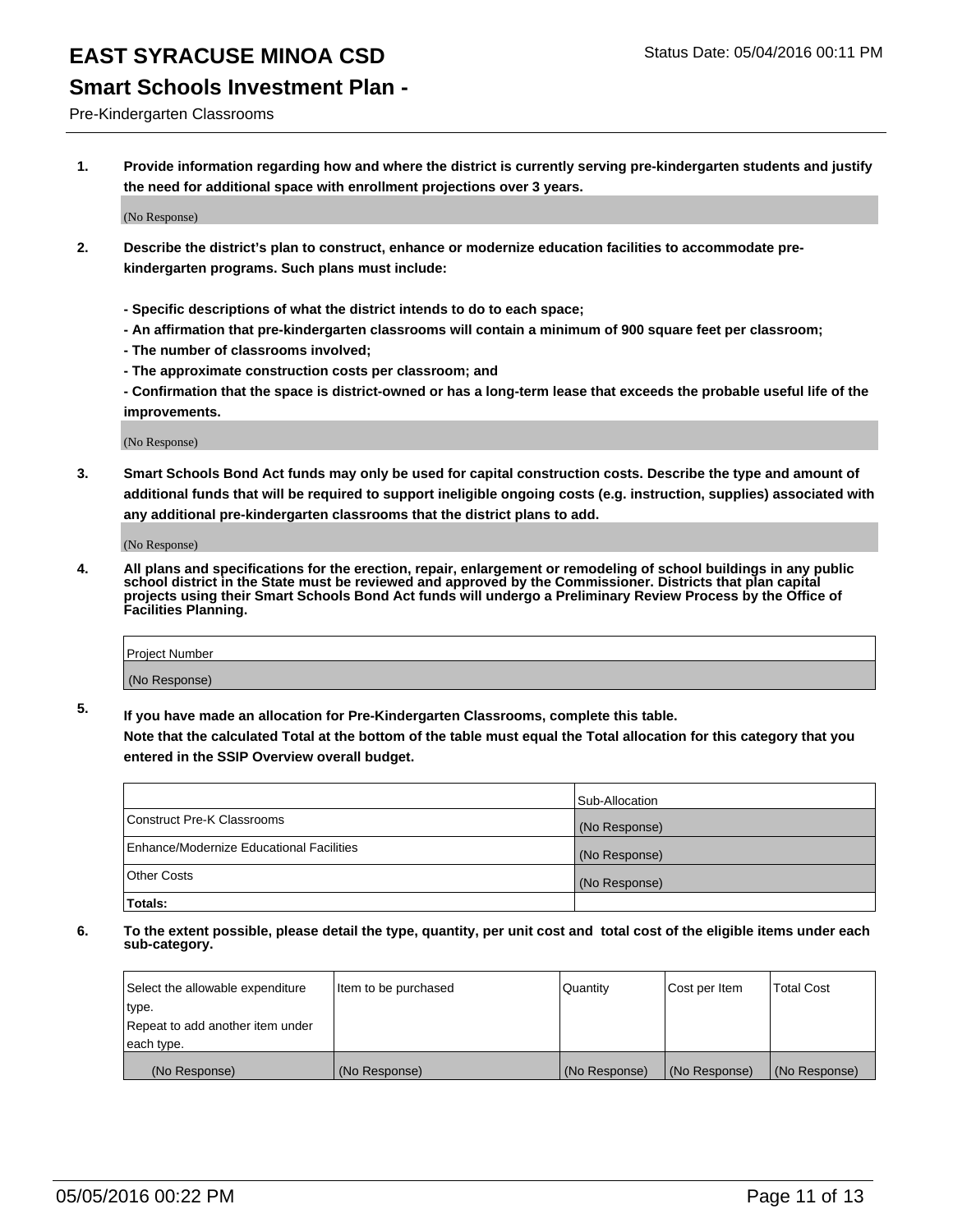### **Smart Schools Investment Plan -**

Pre-Kindergarten Classrooms

**1. Provide information regarding how and where the district is currently serving pre-kindergarten students and justify the need for additional space with enrollment projections over 3 years.**

(No Response)

- **2. Describe the district's plan to construct, enhance or modernize education facilities to accommodate prekindergarten programs. Such plans must include:**
	- **Specific descriptions of what the district intends to do to each space;**
	- **An affirmation that pre-kindergarten classrooms will contain a minimum of 900 square feet per classroom;**
	- **The number of classrooms involved;**
	- **The approximate construction costs per classroom; and**
	- **Confirmation that the space is district-owned or has a long-term lease that exceeds the probable useful life of the improvements.**

(No Response)

**3. Smart Schools Bond Act funds may only be used for capital construction costs. Describe the type and amount of additional funds that will be required to support ineligible ongoing costs (e.g. instruction, supplies) associated with any additional pre-kindergarten classrooms that the district plans to add.**

(No Response)

**4. All plans and specifications for the erection, repair, enlargement or remodeling of school buildings in any public school district in the State must be reviewed and approved by the Commissioner. Districts that plan capital projects using their Smart Schools Bond Act funds will undergo a Preliminary Review Process by the Office of Facilities Planning.**

| Project Number |  |
|----------------|--|
| (No Response)  |  |

**5. If you have made an allocation for Pre-Kindergarten Classrooms, complete this table. Note that the calculated Total at the bottom of the table must equal the Total allocation for this category that you**

**entered in the SSIP Overview overall budget.**

|                                          | Sub-Allocation |
|------------------------------------------|----------------|
| Construct Pre-K Classrooms               | (No Response)  |
| Enhance/Modernize Educational Facilities | (No Response)  |
| Other Costs                              | (No Response)  |
| Totals:                                  |                |

| Select the allowable expenditure | Item to be purchased | Quantity      | Cost per Item | <b>Total Cost</b> |
|----------------------------------|----------------------|---------------|---------------|-------------------|
| type.                            |                      |               |               |                   |
| Repeat to add another item under |                      |               |               |                   |
| each type.                       |                      |               |               |                   |
| (No Response)                    | (No Response)        | (No Response) | (No Response) | (No Response)     |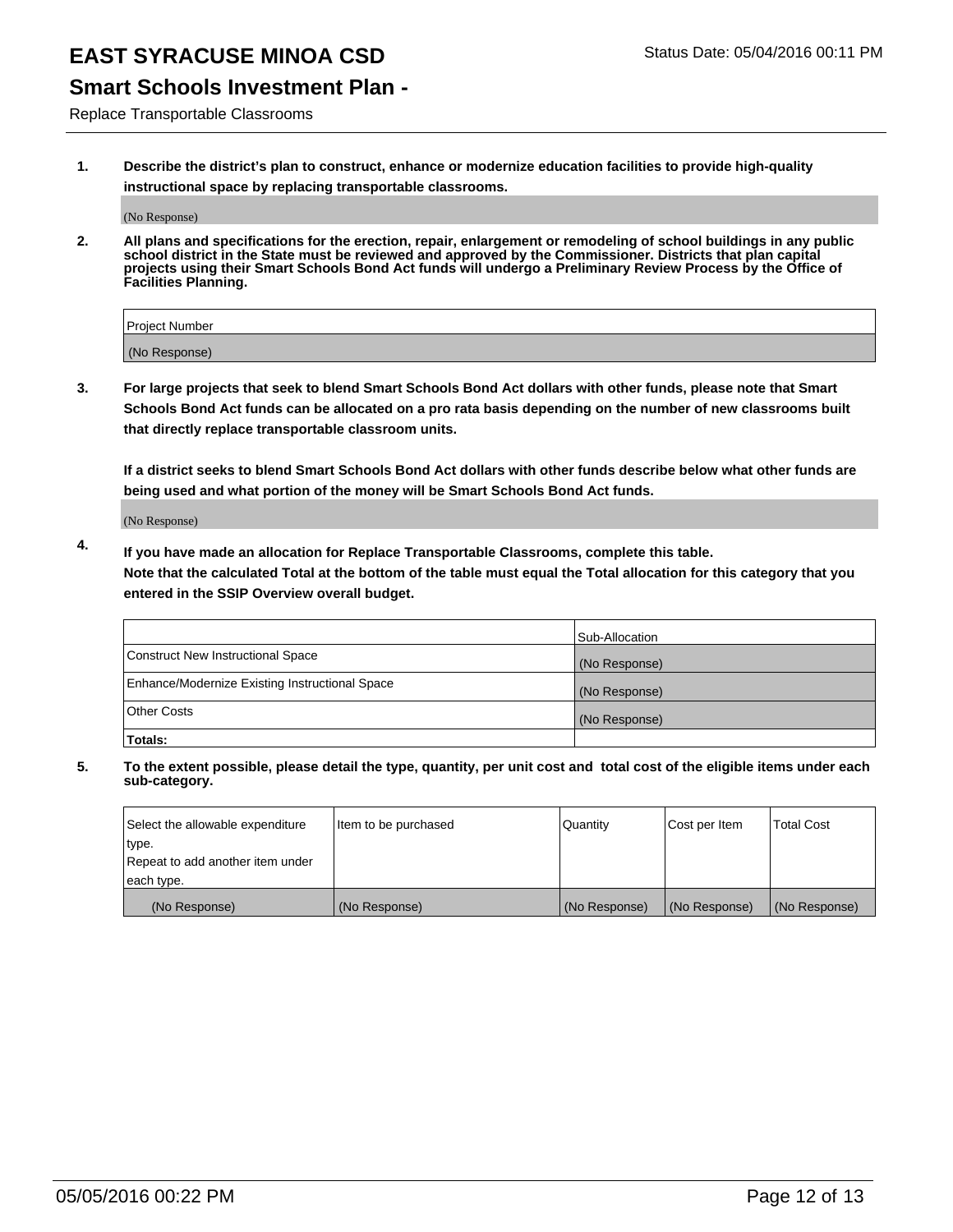## **Smart Schools Investment Plan -**

Replace Transportable Classrooms

**1. Describe the district's plan to construct, enhance or modernize education facilities to provide high-quality instructional space by replacing transportable classrooms.**

(No Response)

**2. All plans and specifications for the erection, repair, enlargement or remodeling of school buildings in any public school district in the State must be reviewed and approved by the Commissioner. Districts that plan capital projects using their Smart Schools Bond Act funds will undergo a Preliminary Review Process by the Office of Facilities Planning.**

| Project Number |  |
|----------------|--|
| (No Response)  |  |

**3. For large projects that seek to blend Smart Schools Bond Act dollars with other funds, please note that Smart Schools Bond Act funds can be allocated on a pro rata basis depending on the number of new classrooms built that directly replace transportable classroom units.**

**If a district seeks to blend Smart Schools Bond Act dollars with other funds describe below what other funds are being used and what portion of the money will be Smart Schools Bond Act funds.**

(No Response)

**4. If you have made an allocation for Replace Transportable Classrooms, complete this table. Note that the calculated Total at the bottom of the table must equal the Total allocation for this category that you entered in the SSIP Overview overall budget.**

|                                                | Sub-Allocation |
|------------------------------------------------|----------------|
| Construct New Instructional Space              | (No Response)  |
| Enhance/Modernize Existing Instructional Space | (No Response)  |
| <b>Other Costs</b>                             | (No Response)  |
| Totals:                                        |                |

| Select the allowable expenditure | Item to be purchased | <b>Quantity</b> | Cost per Item | <b>Total Cost</b> |
|----------------------------------|----------------------|-----------------|---------------|-------------------|
| type.                            |                      |                 |               |                   |
| Repeat to add another item under |                      |                 |               |                   |
| each type.                       |                      |                 |               |                   |
| (No Response)                    | (No Response)        | (No Response)   | (No Response) | (No Response)     |